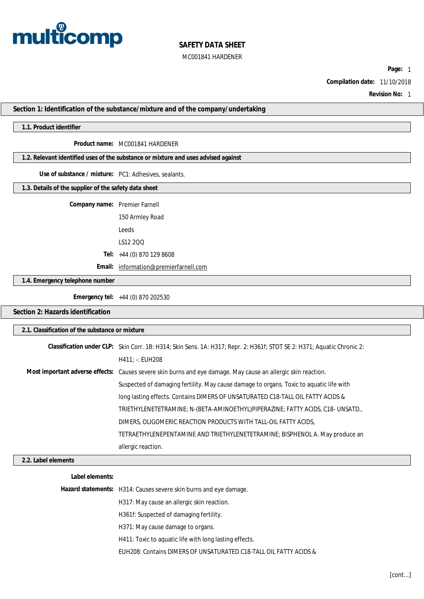

**Page:** 1

**Compilation date:** 11/10/2018

**Revision No:** 1

**Section 1: Identification of the substance/mixture and of the company/undertaking**

#### **1.1. Product identifier**

#### **Product name:** MC001841 HARDENER

#### **1.2. Relevant identified uses of the substance or mixture and uses advised against**

#### **Use of substance / mixture:** PC1: Adhesives, sealants.

#### **1.3. Details of the supplier of the safety data sheet**

**Company name:** Premier Farnell

150 Armley Road Leeds

LS12 2QQ

**Tel:** +44 (0) 870 129 8608

**Email:** [information@premierfarnell.com](mailto:information@premierfarnell.com)

#### **1.4. Emergency telephone number**

**Emergency tel:** +44 (0) 870 202530

## **Section 2: Hazards identification**

|                     | 2.1. Classification of the substance or mixture                                                                         |  |  |  |
|---------------------|-------------------------------------------------------------------------------------------------------------------------|--|--|--|
|                     |                                                                                                                         |  |  |  |
|                     | Classification under CLP: Skin Corr. 1B: H314; Skin Sens. 1A: H317; Repr. 2: H361f; STOT SE 2: H371; Aquatic Chronic 2: |  |  |  |
|                     | H411: EUH208                                                                                                            |  |  |  |
|                     | Most important adverse effects: Causes severe skin burns and eye damage. May cause an allergic skin reaction.           |  |  |  |
|                     | Suspected of damaging fertility. May cause damage to organs. Toxic to aquatic life with                                 |  |  |  |
|                     | long lasting effects. Contains DIMERS OF UNSATURATED C18-TALL OIL FATTY ACIDS &                                         |  |  |  |
|                     | TRIETHYLENETETRAMINE; N-(BETA-AMINOETHYL)PIPERAZINE; FATTY ACIDS, C18- UNSATD.,                                         |  |  |  |
|                     | DIMERS, OLIGOMERIC REACTION PRODUCTS WITH TALL-OIL FATTY ACIDS,                                                         |  |  |  |
|                     | TETRAETHYLENEPENTAMINE AND TRIETHYLENETETRAMINE; BISPHENOL A. May produce an                                            |  |  |  |
|                     | allergic reaction.                                                                                                      |  |  |  |
| 2.2. Label elements |                                                                                                                         |  |  |  |
| Label elements:     |                                                                                                                         |  |  |  |
|                     |                                                                                                                         |  |  |  |

| Hazard statements: H314: Causes severe skin burns and eye damage. |
|-------------------------------------------------------------------|
| H317: May cause an allergic skin reaction.                        |
| H361f: Suspected of damaging fertility.                           |
| H371: May cause damage to organs.                                 |
| H411: Toxic to aquatic life with long lasting effects.            |
| EUH208: Contains DIMERS OF UNSATURATED C18-TALL OIL FATTY ACIDS & |
|                                                                   |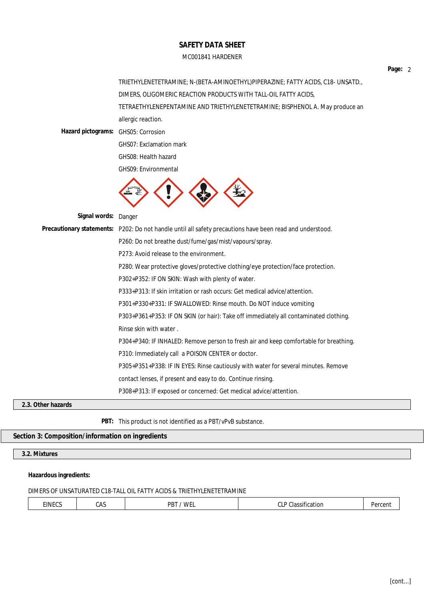|                                     | TRIETHYLENETETRAMINE; N-(BETA-AMINOETHYL)PIPERAZINE; FATTY ACIDS, C18- UNSATD.,                           |  |  |  |
|-------------------------------------|-----------------------------------------------------------------------------------------------------------|--|--|--|
|                                     | DIMERS, OLIGOMERIC REACTION PRODUCTS WITH TALL-OIL FATTY ACIDS,                                           |  |  |  |
|                                     | TETRAETHYLENEPENTAMINE AND TRIETHYLENETETRAMINE; BISPHENOL A. May produce an                              |  |  |  |
|                                     | allergic reaction.                                                                                        |  |  |  |
| Hazard pictograms: GHS05: Corrosion |                                                                                                           |  |  |  |
|                                     | GHS07: Exclamation mark                                                                                   |  |  |  |
|                                     | GHS08: Health hazard                                                                                      |  |  |  |
|                                     | GHS09: Environmental                                                                                      |  |  |  |
|                                     |                                                                                                           |  |  |  |
| Signal words: Danger                |                                                                                                           |  |  |  |
|                                     | Precautionary statements: P202: Do not handle until all safety precautions have been read and understood. |  |  |  |
|                                     | P260: Do not breathe dust/fume/gas/mist/vapours/spray.                                                    |  |  |  |
|                                     | P273: Avoid release to the environment.                                                                   |  |  |  |
|                                     | P280: Wear protective gloves/protective clothing/eye protection/face protection.                          |  |  |  |
|                                     | P302+P352: IF ON SKIN: Wash with plenty of water.                                                         |  |  |  |
|                                     | P333+P313: If skin irritation or rash occurs: Get medical advice/attention.                               |  |  |  |
|                                     | P301+P330+P331: IF SWALLOWED: Rinse mouth. Do NOT induce vomiting                                         |  |  |  |
|                                     | P303+P361+P353: IF ON SKIN (or hair): Take off immediately all contaminated clothing.                     |  |  |  |
|                                     | Rinse skin with water.                                                                                    |  |  |  |
|                                     | P304+P340: IF INHALED: Remove person to fresh air and keep comfortable for breathing.                     |  |  |  |
|                                     | P310: Immediately call a POISON CENTER or doctor.                                                         |  |  |  |
|                                     | P305+P351+P338: IF IN EYES: Rinse cautiously with water for several minutes. Remove                       |  |  |  |
|                                     | contact lenses, if present and easy to do. Continue rinsing.                                              |  |  |  |
|                                     | P308+P313: IF exposed or concerned: Get medical advice/attention.                                         |  |  |  |
| er hazards                          |                                                                                                           |  |  |  |

**2.3. Other hazards**

**PBT:** This product is not identified as a PBT/vPvB substance.

**Section 3: Composition/information on ingredients**

**3.2. Mixtures**

**Hazardous ingredients:**

#### DIMERS OF UNSATURATED C18-TALL OIL FATTY ACIDS & TRIETHYLENETETRAMINE

| . | EINECS | CAS | PBT<br><b>WF</b> | $\sim$ $\sim$<br>$\sim$<br>Jassification<br>uld<br>UL |  |
|---|--------|-----|------------------|-------------------------------------------------------|--|
|---|--------|-----|------------------|-------------------------------------------------------|--|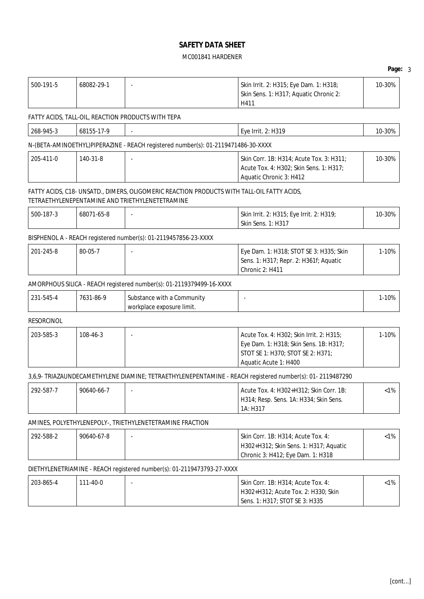# MC001841 HARDENER

Skin Sens. 1: H317; Aquatic Chronic 2:

500-191-5 68082-29-1 - Skin Irrit. 2: H315; Eye Dam. 1: H318;

|                   |            |                                                                                                                                               | H411                                                                                                                                             |         |
|-------------------|------------|-----------------------------------------------------------------------------------------------------------------------------------------------|--------------------------------------------------------------------------------------------------------------------------------------------------|---------|
|                   |            | FATTY ACIDS, TALL-OIL, REACTION PRODUCTS WITH TEPA                                                                                            |                                                                                                                                                  |         |
| 268-945-3         | 68155-17-9 |                                                                                                                                               | Eye Irrit. 2: H319                                                                                                                               | 10-30%  |
|                   |            | N-(BETA-AMINOETHYL)PIPERAZINE - REACH registered number(s): 01-2119471486-30-XXXX                                                             |                                                                                                                                                  |         |
| 205-411-0         | 140-31-8   |                                                                                                                                               | Skin Corr. 1B: H314; Acute Tox. 3: H311;<br>Acute Tox. 4: H302; Skin Sens. 1: H317;<br>Aquatic Chronic 3: H412                                   |         |
|                   |            | FATTY ACIDS, C18- UNSATD., DIMERS, OLIGOMERIC REACTION PRODUCTS WITH TALL-OIL FATTY ACIDS,<br>TETRAETHYLENEPENTAMINE AND TRIETHYLENETETRAMINE |                                                                                                                                                  |         |
| 500-187-3         | 68071-65-8 |                                                                                                                                               | Skin Irrit. 2: H315; Eye Irrit. 2: H319;<br><b>Skin Sens. 1: H317</b>                                                                            | 10-30%  |
|                   |            | BISPHENOL A - REACH registered number(s): 01-2119457856-23-XXXX                                                                               |                                                                                                                                                  |         |
| 201-245-8         | 80-05-7    |                                                                                                                                               | Eye Dam. 1: H318; STOT SE 3: H335; Skin<br>Sens. 1: H317; Repr. 2: H361f; Aquatic<br>Chronic 2: H411                                             | 1-10%   |
|                   |            | AMORPHOUS SILICA - REACH registered number(s): 01-2119379499-16-XXXX                                                                          |                                                                                                                                                  |         |
| 231-545-4         | 7631-86-9  | Substance with a Community<br>workplace exposure limit.                                                                                       |                                                                                                                                                  | 1-10%   |
| <b>RESORCINOL</b> |            |                                                                                                                                               |                                                                                                                                                  |         |
| 203-585-3         | 108-46-3   |                                                                                                                                               | Acute Tox. 4: H302; Skin Irrit. 2: H315;<br>Eye Dam. 1: H318; Skin Sens. 1B: H317;<br>STOT SE 1: H370; STOT SE 2: H371;<br>Aquatic Acute 1: H400 |         |
|                   |            |                                                                                                                                               | 3,6,9- TRIAZAUNDECAMETHYLENE DIAMINE; TETRAETHYLENEPENTAMINE - REACH registered number(s): 01- 2119487290                                        |         |
| 292-587-7         | 90640-66-7 |                                                                                                                                               | Acute Tox. 4: H302+H312; Skin Corr. 1B:<br>H314; Resp. Sens. 1A: H334; Skin Sens.<br>1A: H317                                                    |         |
|                   |            | AMINES, POLYETHYLENEPOLY-, TRIETHYLENETETRAMINE FRACTION                                                                                      |                                                                                                                                                  |         |
| 292-588-2         | 90640-67-8 |                                                                                                                                               | Skin Corr. 1B: H314; Acute Tox. 4:<br>H302+H312; Skin Sens. 1: H317; Aquatic<br>Chronic 3: H412; Eye Dam. 1: H318                                | $< 1\%$ |
|                   |            | DIETHYLENETRIAMINE - REACH registered number(s): 01-2119473793-27-XXXX                                                                        |                                                                                                                                                  |         |
| 203-865-4         | 111-40-0   | $\ddot{\phantom{a}}$                                                                                                                          | Skin Corr. 1B: H314; Acute Tox. 4:<br>H302+H312; Acute Tox. 2: H330; Skin<br>Sens. 1: H317; STOT SE 3: H335                                      | $< 1\%$ |

10-30%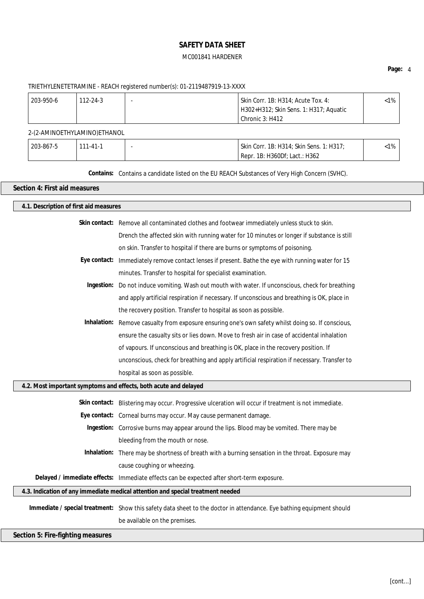## **Page:** 4

# TRIETHYLENETETRAMINE - REACH registered number(s): 01-2119487919-13-XXXX

| 203-950-6 | $112 - 24 - 3$ | Skin Corr. 1B: H314; Acute Tox. 4:     | <1% |
|-----------|----------------|----------------------------------------|-----|
|           |                | H302+H312; Skin Sens. 1: H317; Aquatic |     |
|           |                | Chronic 3: H412                        |     |

## 2-(2-AMINOETHYLAMINO)ETHANOL

| 203-867-5 | 111-41-1 | Skin Corr. 1B: H314; Skin Sens. 1: H317; | :1% |
|-----------|----------|------------------------------------------|-----|
|           |          | Repr. 1B: H360Df: Lact.: H362            |     |

**Contains:** Contains a candidate listed on the EU REACH Substances of Very High Concern (SVHC).

#### **Section 4: First aid measures**

| 4.1. Description of first aid measures                           |                                                                                                                      |  |  |
|------------------------------------------------------------------|----------------------------------------------------------------------------------------------------------------------|--|--|
|                                                                  | Skin contact: Remove all contaminated clothes and footwear immediately unless stuck to skin.                         |  |  |
|                                                                  | Drench the affected skin with running water for 10 minutes or longer if substance is still                           |  |  |
|                                                                  | on skin. Transfer to hospital if there are burns or symptoms of poisoning.                                           |  |  |
|                                                                  | Eye contact: Immediately remove contact lenses if present. Bathe the eye with running water for 15                   |  |  |
|                                                                  | minutes. Transfer to hospital for specialist examination.                                                            |  |  |
|                                                                  | Ingestion: Do not induce vomiting. Wash out mouth with water. If unconscious, check for breathing                    |  |  |
|                                                                  | and apply artificial respiration if necessary. If unconscious and breathing is OK, place in                          |  |  |
|                                                                  | the recovery position. Transfer to hospital as soon as possible.                                                     |  |  |
|                                                                  | Inhalation: Remove casualty from exposure ensuring one's own safety whilst doing so. If conscious,                   |  |  |
|                                                                  | ensure the casualty sits or lies down. Move to fresh air in case of accidental inhalation                            |  |  |
|                                                                  | of vapours. If unconscious and breathing is OK, place in the recovery position. If                                   |  |  |
|                                                                  | unconscious, check for breathing and apply artificial respiration if necessary. Transfer to                          |  |  |
|                                                                  | hospital as soon as possible.                                                                                        |  |  |
| 4.2. Most important symptoms and effects, both acute and delayed |                                                                                                                      |  |  |
|                                                                  | Skin contact: Blistering may occur. Progressive ulceration will occur if treatment is not immediate.                 |  |  |
|                                                                  | Eye contact: Corneal burns may occur. May cause permanent damage.                                                    |  |  |
|                                                                  | Ingestion: Corrosive burns may appear around the lips. Blood may be vomited. There may be                            |  |  |
|                                                                  | bleeding from the mouth or nose.                                                                                     |  |  |
|                                                                  | Inhalation: There may be shortness of breath with a burning sensation in the throat. Exposure may                    |  |  |
|                                                                  | cause coughing or wheezing.                                                                                          |  |  |
|                                                                  | Delayed / immediate effects: Immediate effects can be expected after short-term exposure.                            |  |  |
|                                                                  | 4.3. Indication of any immediate medical attention and special treatment needed                                      |  |  |
|                                                                  | Immediate / special treatment: Show this safety data sheet to the doctor in attendance. Eye bathing equipment should |  |  |
|                                                                  | be available on the premises.                                                                                        |  |  |
|                                                                  |                                                                                                                      |  |  |
| Section 5: Fire-fighting measures                                |                                                                                                                      |  |  |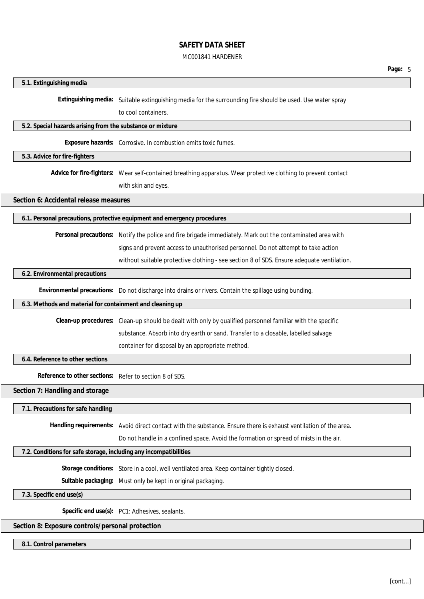#### MC001841 HARDENER

**Page:** 5

#### **5.1. Extinguishing media**

**Extinguishing media:** Suitable extinguishing media for the surrounding fire should be used. Use water spray

to cool containers.

## **5.2. Special hazards arising from the substance or mixture**

**Exposure hazards:** Corrosive. In combustion emits toxic fumes.

**5.3. Advice for fire-fighters**

**Advice for fire-fighters:** Wear self-contained breathing apparatus. Wear protective clothing to prevent contact

with skin and eyes.

**Section 6: Accidental release measures**

**6.1. Personal precautions, protective equipment and emergency procedures**

**Personal precautions:** Notify the police and fire brigade immediately. Mark out the contaminated area with

signs and prevent access to unauthorised personnel. Do not attempt to take action

without suitable protective clothing - see section 8 of SDS. Ensure adequate ventilation.

#### **6.2. Environmental precautions**

**Environmental precautions:** Do not discharge into drains or rivers. Contain the spillage using bunding.

#### **6.3. Methods and material for containment and cleaning up**

**Clean-up procedures:** Clean-up should be dealt with only by qualified personnel familiar with the specific

substance. Absorb into dry earth or sand. Transfer to a closable, labelled salvage

container for disposal by an appropriate method.

**6.4. Reference to other sections**

**Reference to other sections:** Refer to section 8 of SDS.

**Section 7: Handling and storage**

**7.1. Precautions for safe handling**

**Handling requirements:** Avoid direct contact with the substance. Ensure there is exhaust ventilation of the area.

Do not handle in a confined space. Avoid the formation or spread of mists in the air.

## **7.2. Conditions for safe storage, including any incompatibilities**

**Storage conditions:** Store in a cool, well ventilated area. Keep container tightly closed.

**Suitable packaging:** Must only be kept in original packaging.

**7.3. Specific end use(s)**

**Specific end use(s):** PC1: Adhesives, sealants.

# **Section 8: Exposure controls/personal protection**

**8.1. Control parameters**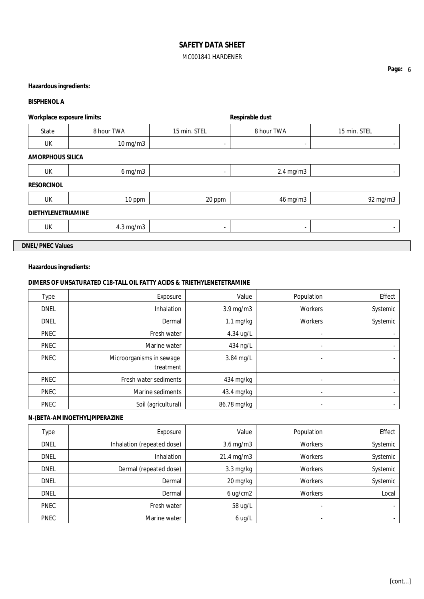# **Hazardous ingredients:**

#### **BISPHENOL A**

| Workplace exposure limits: |              |                          | Respirable dust |              |
|----------------------------|--------------|--------------------------|-----------------|--------------|
| State                      | 8 hour TWA   | 15 min. STEL             | 8 hour TWA      | 15 min. STEL |
| UK                         | 10 mg/m3     | $\overline{\phantom{0}}$ | $\blacksquare$  |              |
| <b>AMORPHOUS SILICA</b>    |              |                          |                 |              |
| UK                         | $6$ mg/m $3$ | $\overline{\phantom{0}}$ | $2.4$ mg/m $3$  | -            |
| <b>RESORCINOL</b>          |              |                          |                 |              |
| <b>UK</b>                  | 10 ppm       | 20 ppm                   | 46 mg/m3        | 92 mg/m3     |
| <b>DIETHYLENETRIAMINE</b>  |              |                          |                 |              |
| UK                         | 4.3 mg/m3    |                          | $\blacksquare$  |              |
| <b>DNEL/PNEC Values</b>    |              |                          |                 |              |

# **Hazardous ingredients:**

## **DIMERS OF UNSATURATED C18-TALL OIL FATTY ACIDS & TRIETHYLENETETRAMINE**

| <b>Type</b> | Exposure                              | Value               | Population               | Effect   |
|-------------|---------------------------------------|---------------------|--------------------------|----------|
| <b>DNEL</b> | <b>Inhalation</b>                     | $3.9$ mg/m $3$      | <b>Workers</b>           | Systemic |
| <b>DNEL</b> | Dermal                                | $1.1 \text{ mg/kg}$ | Workers                  | Systemic |
| <b>PNEC</b> | Fresh water                           | 4.34 ug/L           | $\blacksquare$           |          |
| <b>PNEC</b> | Marine water                          | 434 ng/L            | $\blacksquare$           |          |
| <b>PNEC</b> | Microorganisms in sewage<br>treatment | 3.84 mg/L           | $\overline{\phantom{0}}$ |          |
| <b>PNEC</b> | Fresh water sediments                 | 434 mg/kg           | $\blacksquare$           | $\sim$   |
| <b>PNEC</b> | Marine sediments                      | 43.4 mg/kg          |                          |          |
| <b>PNEC</b> | Soil (agricultural)                   | 86.78 mg/kg         |                          |          |

# **N-(BETA-AMINOETHYL)PIPERAZINE**

| Type        | Exposure                   | Value          | Population | Effect   |
|-------------|----------------------------|----------------|------------|----------|
| <b>DNEL</b> | Inhalation (repeated dose) | $3.6$ mg/m $3$ | Workers    | Systemic |
| <b>DNEL</b> | <b>Inhalation</b>          | 21.4 mg/m3     | Workers    | Systemic |
| <b>DNEL</b> | Dermal (repeated dose)     | $3.3$ mg/kg    | Workers    | Systemic |
| <b>DNEL</b> | Dermal                     | 20 mg/kg       | Workers    | Systemic |
| <b>DNEL</b> | Dermal                     | 6 ug/cm2       | Workers    | Local    |
| PNEC        | Fresh water                | 58 ug/L        | ۰          |          |
| <b>PNEC</b> | Marine water               | $6$ ug/L       |            |          |

**Page:** 6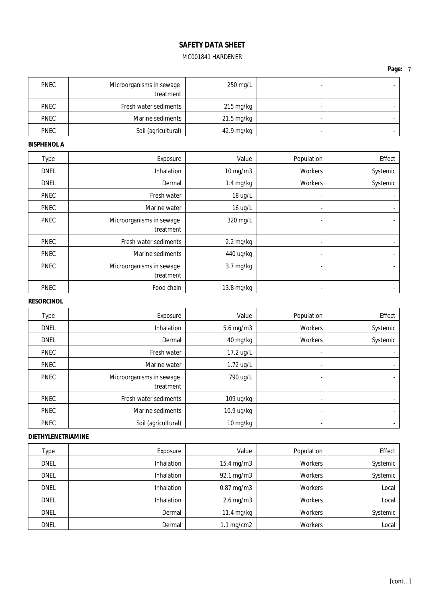**Page:** 7

| <b>PNEC</b> | Microorganisms in sewage<br>treatment | 250 mg/L             |  |
|-------------|---------------------------------------|----------------------|--|
| <b>PNEC</b> | Fresh water sediments                 | 215 mg/kg            |  |
| <b>PNEC</b> | Marine sediments                      | $21.5 \text{ mg/kg}$ |  |
| <b>PNEC</b> | Soil (agricultural)                   | 42.9 mg/kg           |  |

# **BISPHENOL A**

| <b>Type</b> | Exposure                              | Value               | Population               | Effect                   |
|-------------|---------------------------------------|---------------------|--------------------------|--------------------------|
| <b>DNEL</b> | <b>Inhalation</b>                     | $10$ mg/m $3$       | <b>Workers</b>           | Systemic                 |
| <b>DNEL</b> | Dermal                                | 1.4 mg/kg           | Workers                  | Systemic                 |
| <b>PNEC</b> | Fresh water                           | 18 ug/L             |                          |                          |
| <b>PNEC</b> | Marine water                          | 16 ug/L             | ۰                        |                          |
| <b>PNEC</b> | Microorganisms in sewage<br>treatment | 320 mg/L            |                          |                          |
| <b>PNEC</b> | Fresh water sediments                 | $2.2 \text{ mg/kg}$ | $\overline{\phantom{0}}$ | $\overline{\phantom{0}}$ |
| <b>PNEC</b> | Marine sediments                      | 440 ug/kg           |                          |                          |
| <b>PNEC</b> | Microorganisms in sewage<br>treatment | $3.7 \text{ mg/kg}$ |                          |                          |
| <b>PNEC</b> | Food chain                            | 13.8 mg/kg          |                          |                          |

# **RESORCINOL**

| <b>Type</b> | Exposure                              | Value                            | Population     | Effect         |
|-------------|---------------------------------------|----------------------------------|----------------|----------------|
| <b>DNEL</b> | <b>Inhalation</b>                     | 5.6 mg/m3                        | Workers        | Systemic       |
| <b>DNEL</b> | Dermal                                | 40 mg/kg                         | Workers        | Systemic       |
| <b>PNEC</b> | Fresh water                           | 17.2 ug/L                        | $\blacksquare$ |                |
| <b>PNEC</b> | Marine water                          | 1.72 ug/L                        | $\,$           |                |
| <b>PNEC</b> | Microorganisms in sewage<br>treatment | 790 ug/L                         |                |                |
| <b>PNEC</b> | Fresh water sediments                 | 109 ug/kg                        |                | $\blacksquare$ |
| <b>PNEC</b> | Marine sediments                      | 10.9 ug/kg                       |                |                |
| <b>PNEC</b> | Soil (agricultural)                   | $10 \frac{\text{mg}}{\text{kg}}$ |                |                |

## **DIETHYLENETRIAMINE**

| Type        | Exposure          | Value                | Population     | Effect   |
|-------------|-------------------|----------------------|----------------|----------|
| <b>DNEL</b> | <b>Inhalation</b> | 15.4 mg/m3           | <b>Workers</b> | Systemic |
| <b>DNEL</b> | <b>Inhalation</b> | 92.1 mg/m3           | <b>Workers</b> | Systemic |
| <b>DNEL</b> | <b>Inhalation</b> | $0.87$ mg/m $3$      | Workers        | Local    |
| <b>DNEL</b> | <b>Inhalation</b> | $2.6$ mg/m $3$       | <b>Workers</b> | Local    |
| <b>DNEL</b> | Dermal            | 11.4 mg/kg           | Workers        | Systemic |
| <b>DNEL</b> | Dermal            | $1.1 \text{ mg/cm2}$ | <b>Workers</b> | Local    |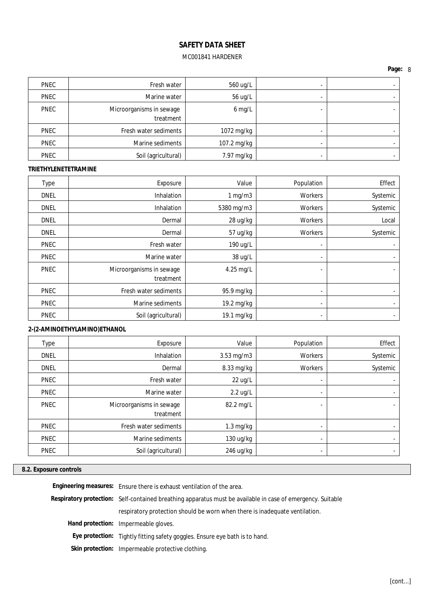**Page:** 8

| <b>PNEC</b> | Fresh water                           | 560 ug/L    |   |  |
|-------------|---------------------------------------|-------------|---|--|
| <b>PNEC</b> | Marine water                          | 56 ug/L     |   |  |
| <b>PNEC</b> | Microorganisms in sewage<br>treatment | $6$ mg/L    |   |  |
| <b>PNEC</b> | Fresh water sediments                 | 1072 mg/kg  | - |  |
| <b>PNEC</b> | Marine sediments                      | 107.2 mg/kg |   |  |
| <b>PNEC</b> | Soil (agricultural)                   | 7.97 mg/kg  |   |  |

## **TRIETHYLENETETRAMINE**

| <b>Type</b> | Exposure                 | Value        | Population     | Effect         |
|-------------|--------------------------|--------------|----------------|----------------|
| <b>DNEL</b> | <b>Inhalation</b>        | $1$ mg/m $3$ | Workers        | Systemic       |
| <b>DNEL</b> | <b>Inhalation</b>        | 5380 mg/m3   | Workers        | Systemic       |
| <b>DNEL</b> | Dermal                   | 28 ug/kg     | Workers        | Local          |
| <b>DNEL</b> | Dermal                   | 57 ug/kg     | Workers        | Systemic       |
| <b>PNEC</b> | Fresh water              | 190 ug/L     |                | $\blacksquare$ |
| <b>PNEC</b> | Marine water             | 38 ug/L      | $\blacksquare$ | ٠              |
| <b>PNEC</b> | Microorganisms in sewage | 4.25 mg/L    | -              | $\blacksquare$ |
|             | treatment                |              |                |                |
| <b>PNEC</b> | Fresh water sediments    | 95.9 mg/kg   | $\blacksquare$ | $\blacksquare$ |
| <b>PNEC</b> | Marine sediments         | 19.2 mg/kg   | $\blacksquare$ | $\blacksquare$ |
| <b>PNEC</b> | Soil (agricultural)      | 19.1 mg/kg   | $\blacksquare$ | $\blacksquare$ |

# **2-(2-AMINOETHYLAMINO)ETHANOL**

| Type        | Exposure                              | Value                             | Population     | Effect   |
|-------------|---------------------------------------|-----------------------------------|----------------|----------|
| <b>DNEL</b> | Inhalation                            | $3.53$ mg/m $3$                   | <b>Workers</b> | Systemic |
| <b>DNEL</b> | Dermal                                | 8.33 mg/kg                        | Workers        | Systemic |
| <b>PNEC</b> | Fresh water                           | 22 ug/L                           | $\,$           |          |
| <b>PNEC</b> | Marine water                          | $2.2 \text{ ug/L}$                |                |          |
| <b>PNEC</b> | Microorganisms in sewage<br>treatment | 82.2 mg/L                         |                |          |
| <b>PNEC</b> | Fresh water sediments                 | $1.3 \text{ mg/kg}$               |                |          |
| <b>PNEC</b> | Marine sediments                      | $130 \frac{\text{uq}}{\text{kg}}$ |                |          |
| <b>PNEC</b> | Soil (agricultural)                   | 246 ug/kg                         | $\blacksquare$ |          |

# **8.2. Exposure controls**

| Engineering measures: Ensure there is exhaust ventilation of the area.                                      |
|-------------------------------------------------------------------------------------------------------------|
| Respiratory protection: Self-contained breathing apparatus must be available in case of emergency. Suitable |
| respiratory protection should be worn when there is inadequate ventilation.                                 |
| Hand protection: Impermeable gloves.                                                                        |
| Eye protection: Tightly fitting safety goggles. Ensure eye bath is to hand.                                 |
| Skin protection: Impermeable protective clothing.                                                           |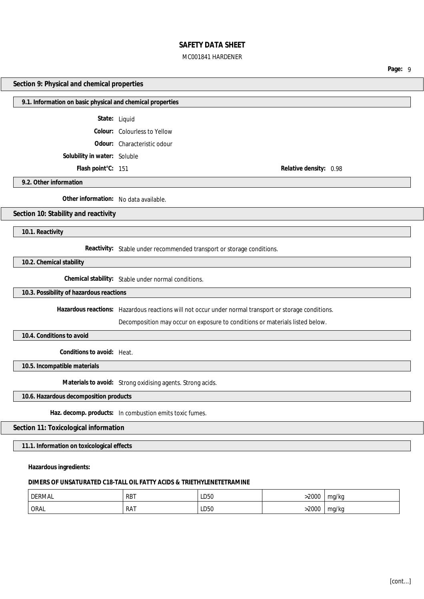# MC001841 HARDENER

**Page:** 9

#### **Section 9: Physical and chemical properties**

#### **9.1. Information on basic physical and chemical properties**

**State:** Liquid

**Colour:** Colourless to Yellow

**Odour:** Characteristic odour

**Solubility in water:** Soluble

**Flash point°C:** 151 **Relative density:** 0.98

**9.2. Other information**

**Other information:** No data available.

**Section 10: Stability and reactivity**

**10.1. Reactivity**

**Reactivity:** Stable under recommended transport or storage conditions.

**10.2. Chemical stability**

**Chemical stability:** Stable under normal conditions.

**10.3. Possibility of hazardous reactions**

**Hazardous reactions:** Hazardous reactions will not occur under normal transport or storage conditions.

Decomposition may occur on exposure to conditions or materials listed below.

**10.4. Conditions to avoid**

**Conditions to avoid:** Heat.

**10.5. Incompatible materials**

**Materials to avoid:** Strong oxidising agents. Strong acids.

**10.6. Hazardous decomposition products**

**Haz. decomp. products:** In combustion emits toxic fumes.

#### **Section 11: Toxicological information**

**11.1. Information on toxicological effects**

**Hazardous ingredients:**

#### **DIMERS OF UNSATURATED C18-TALL OIL FATTY ACIDS & TRIETHYLENETETRAMINE**

| <b>DERMAL</b> | <b>RBT</b><br>$\cdot$ $\cdot$ | LD50 | 2000 | mg/kg<br> |
|---------------|-------------------------------|------|------|-----------|
| <b>ORAL</b>   | RAT                           | LD50 | 2000 | ma/ka<br> |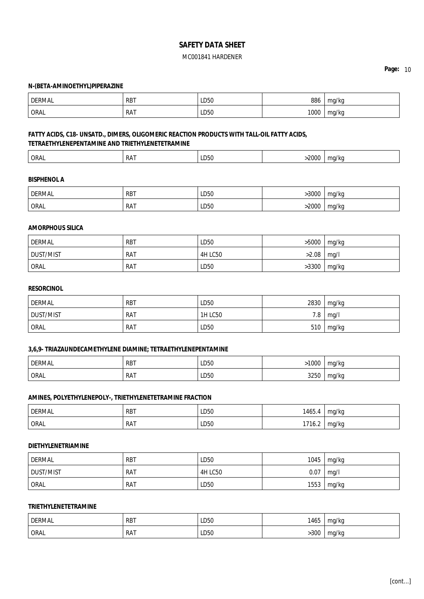**Page:** 10

#### **N-(BETA-AMINOETHYL)PIPERAZINE**

| <b>DERMAL</b> | <b>RBT</b> | LD50<br>___ | 886  | ma/ka |
|---------------|------------|-------------|------|-------|
| <b>ORAL</b>   | <b>RAT</b> | LD50        | 1000 | ma/ka |

# **FATTY ACIDS, C18- UNSATD., DIMERS, OLIGOMERIC REACTION PRODUCTS WITH TALL-OIL FATTY ACIDS, TETRAETHYLENEPENTAMINE AND TRIETHYLENETETRAMINE**

| nnnr<br>ORAL<br>' RA.<br>$- - - -$<br>. |
|-----------------------------------------|
|-----------------------------------------|

#### **BISPHENOL A**

| <b>DERMAL</b> | <b>RBT</b>      | LD50<br>$\sim$ $\sim$ | 3000 | ma/ka |
|---------------|-----------------|-----------------------|------|-------|
| ORAL          | <b>RAT</b><br>. | LD50                  | 2000 | ma/ka |

#### **AMORPHOUS SILICA**

| <b>DERMAL</b>    | RBT        | LD50           | >5000 | mg/kg |
|------------------|------------|----------------|-------|-------|
| <b>DUST/MIST</b> | RAT        | <b>4H LC50</b> | >2.08 | mg/l  |
| ORAL             | <b>RAT</b> | LD50           | >3300 | mg/kg |

## **RESORCINOL**

| DERMAL           | RBT        | LD50           | 2830 | mg/kg |
|------------------|------------|----------------|------|-------|
| <b>DUST/MIST</b> | <b>RAT</b> | <b>1H LC50</b> | 7.8  | ma/l  |
| ORAL             | <b>RAT</b> | LD50           | 510  | mg/kg |

## **3,6,9- TRIAZAUNDECAMETHYLENE DIAMINE; TETRAETHYLENEPENTAMINE**

| <b>DERMAL</b> | <b>RBT</b> | LD50<br>$\sim$ $\sim$ | 1000 | ma/ka |
|---------------|------------|-----------------------|------|-------|
| ORAL          | <b>RAT</b> | LD50                  | 3250 | ma/ka |

#### **AMINES, POLYETHYLENEPOLY-, TRIETHYLENETETRAMINE FRACTION**

| <b>DERMAL</b> | <b>RBT</b> | LD50 | 1465.4 | ma/ka     |
|---------------|------------|------|--------|-----------|
| ORAL          | <b>RAT</b> | LD50 | 1716.2 | mg/kg<br> |

#### **DIETHYLENETRIAMINE**

| DERMAL           | <b>RBT</b> | LD50           | 1045 | mg/kg |
|------------------|------------|----------------|------|-------|
| <b>DUST/MIST</b> | <b>RAT</b> | <b>4H LC50</b> | 0.07 | ma/l  |
| ORAL             | <b>RAT</b> | LD50           | 1553 | mg/kg |

## **TRIETHYLENETETRAMINE**

| <b>DERMAL</b> | <b>RBT</b>      | LD50<br>$\sim$ $\sim$ | 1465 | mg/kg            |
|---------------|-----------------|-----------------------|------|------------------|
| <b>ORAL</b>   | RA <sub>1</sub> | LD50                  | .300 | ma/ka<br><br>. . |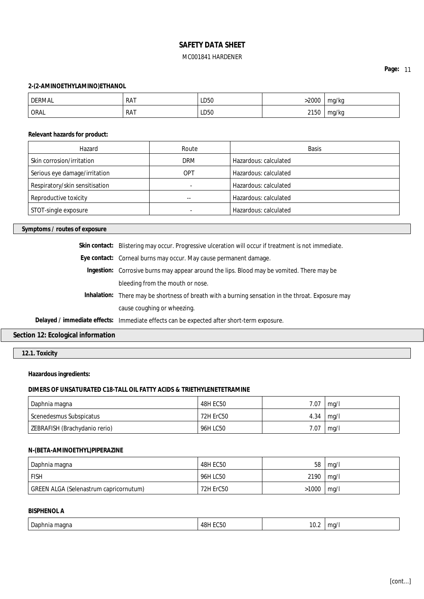## **Page:** 11

#### **2-(2-AMINOETHYLAMINO)ETHANOL**

| DERMAL | <b>RAT</b> | LD50 | 2000 | mg/kg            |
|--------|------------|------|------|------------------|
| ORAL   | <b>RAT</b> | LD50 | 2150 | mg/kg<br>$\cdot$ |

**Relevant hazards for product:**

| Hazard                         | Route      | <b>Basis</b>          |
|--------------------------------|------------|-----------------------|
| Skin corrosion/irritation      | <b>DRM</b> | Hazardous: calculated |
| Serious eye damage/irritation  | OPT        | Hazardous: calculated |
| Respiratory/skin sensitisation |            | Hazardous: calculated |
| Reproductive toxicity          | $-$        | Hazardous: calculated |
| STOT-single exposure           |            | Hazardous: calculated |

**Symptoms / routes of exposure**

| Skin contact: Blistering may occur. Progressive ulceration will occur if treatment is not immediate. |
|------------------------------------------------------------------------------------------------------|
| Eye contact: Corneal burns may occur. May cause permanent damage.                                    |
| Ingestion: Corrosive burns may appear around the lips. Blood may be vomited. There may be            |
| bleeding from the mouth or nose.                                                                     |
| Inhalation: There may be shortness of breath with a burning sensation in the throat. Exposure may    |
| cause coughing or wheezing.                                                                          |
| Delayed / immediate effects: Immediate effects can be expected after short-term exposure.            |
|                                                                                                      |

# **Section 12: Ecological information**

**12.1. Toxicity**

**Hazardous ingredients:**

#### **DIMERS OF UNSATURATED C18-TALL OIL FATTY ACIDS & TRIETHYLENETETRAMINE**

| Daphnia magna                 | 48H EC50  | 7.07 | mq/l |
|-------------------------------|-----------|------|------|
| Scenedesmus Subspicatus       | 72H ErC50 | 4.34 | ma/l |
| ZEBRAFISH (Brachydanio rerio) | 96H LC50  | 7.07 | mq/l |

## **N-(BETA-AMINOETHYL)PIPERAZINE**

| Daphnia magna                          | 48H EC50  | 58    | mq/l |
|----------------------------------------|-----------|-------|------|
| <b>FISH</b>                            | 96H LC50  | 2190  | mq/l |
| GREEN ALGA (Selenastrum capricornutum) | 72H ErC50 | >1000 | mq/l |

# **BISPHENOL A**

| Daphnia<br>magna | $\sim$<br>48H<br>C50 | $\sim$<br>-<br>IV.Z<br>the contract of the contract of the | <br>mq/<br>. . |
|------------------|----------------------|------------------------------------------------------------|----------------|
|                  |                      |                                                            |                |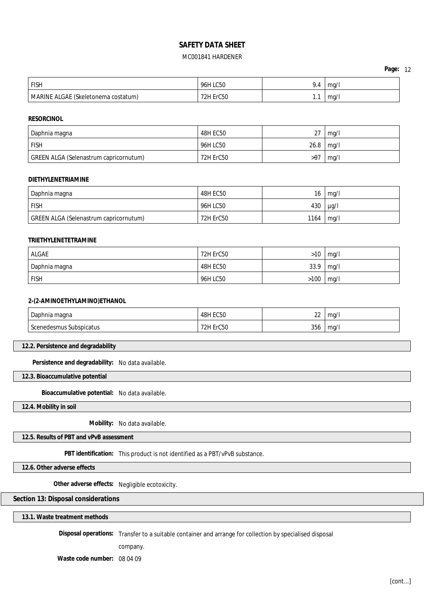| Page: | 12 |
|-------|----|
|-------|----|

| <b>FISH</b>                         | 96H LC50         | 9.4 | ma/ |
|-------------------------------------|------------------|-----|-----|
| MARINE ALGAE (Skeletonema costatum) | <b>72H ErC50</b> |     | mq/ |

**RESORCINOL**

| Daphnia magna                          | <b>48H EC50</b>  | วา<br>، ے | mq/l |
|----------------------------------------|------------------|-----------|------|
| <b>FISH</b>                            | 96H LC50         | 26.8      | mq/l |
| GREEN ALGA (Selenastrum capricornutum) | <b>72H ErC50</b> | >97       | mq/l |

#### **DIETHYLENETRIAMINE**

| Daphnia magna                          | <b>48H EC50</b> | 16   | mq/l      |
|----------------------------------------|-----------------|------|-----------|
| <b>FISH</b>                            | 96H LC50        | 430  | $\mu$ g/l |
| GREEN ALGA (Selenastrum capricornutum) | 72H ErC50       | 1164 | mg/l      |

#### **TRIETHYLENETETRAMINE**

| <b>ALGAE</b>  | 72H ErC50 | >10  | mq/l |
|---------------|-----------|------|------|
| Daphnia magna | 48H EC50  | 33.9 | mq/l |
| <b>FISH</b>   | 96H LC50  | >100 | mq/l |

#### **2-(2-AMINOETHYLAMINO)ETHANOL**

| Daphnia magna       | <b>48H EC50</b> | $\sim$ |     |
|---------------------|-----------------|--------|-----|
|                     | ะบ5บ            | 22     | ma/ |
| ◠                   | C50             |        | ma/ |
| edesmus Subspicatus | שמד             | 356    |     |
| sconc               | $  -$           | - - -  |     |

## **12.2. Persistence and degradability**

**Persistence and degradability:** No data available.

**12.3. Bioaccumulative potential**

**Bioaccumulative potential:** No data available.

**12.4. Mobility in soil**

**Mobility:** No data available.

**12.5. Results of PBT and vPvB assessment**

**PBT identification:** This product is not identified as a PBT/vPvB substance.

**12.6. Other adverse effects**

**Other adverse effects:** Negligible ecotoxicity.

## **Section 13: Disposal considerations**

**13.1. Waste treatment methods**

**Disposal operations:** Transfer to a suitable container and arrange for collection by specialised disposal

company.

**Waste code number:** 08 04 09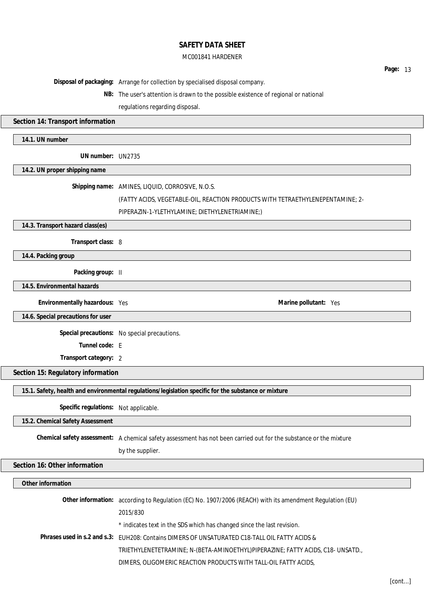#### MC001841 HARDENER

**Page:** 13 **Disposal of packaging:** Arrange for collection by specialised disposal company. **NB:** The user's attention is drawn to the possible existence of regional or national regulations regarding disposal. **Section 14: Transport information 14.1. UN number UN number:** UN2735 **14.2. UN proper shipping name Shipping name:** AMINES, LIQUID, CORROSIVE, N.O.S. (FATTY ACIDS, VEGETABLE-OIL, REACTION PRODUCTS WITH TETRAETHYLENEPENTAMINE; 2- PIPERAZIN-1-YLETHYLAMINE; DIETHYLENETRIAMINE;) **14.3. Transport hazard class(es) Transport class:** 8 **14.4. Packing group Packing group:** II **14.5. Environmental hazards Environmentally hazardous:** Yes **Marine Marine Marine Marine Marine Marine Marine Marine Marine Marine 14.6. Special precautions for user Special precautions:** No special precautions. **Tunnel code:** E **Transport category:** 2 **Section 15: Regulatory information 15.1. Safety, health and environmental regulations/legislation specific for the substance or mixture Specific regulations:** Not applicable. **15.2. Chemical Safety Assessment Chemical safety assessment:** A chemical safety assessment has not been carried out for the substance or the mixture by the supplier. **Section 16: Other information Other information Other information:** according to Regulation (EC) No. 1907/2006 (REACH) with its amendment Regulation (EU) 2015/830 \* indicates text in the SDS which has changed since the last revision. **Phrases used in s.2 and s.3:** EUH208: Contains DIMERS OF UNSATURATED C18-TALL OIL FATTY ACIDS & TRIETHYLENETETRAMINE; N-(BETA-AMINOETHYL)PIPERAZINE; FATTY ACIDS, C18- UNSATD., DIMERS, OLIGOMERIC REACTION PRODUCTS WITH TALL-OIL FATTY ACIDS,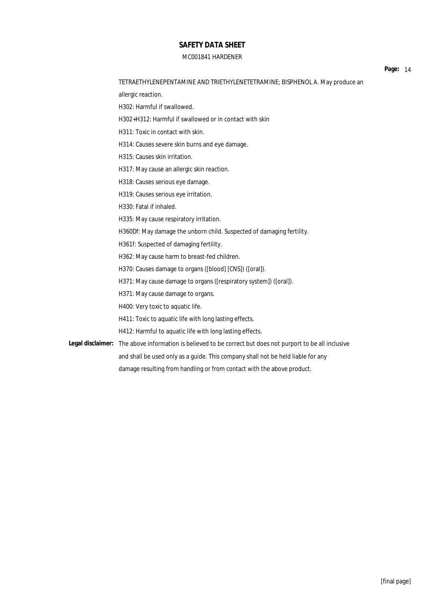## MC001841 HARDENER

H302+H312: Harmful if swallowed or in contact with skin

allergic reaction.

H302: Harmful if swallowed.

TETRAETHYLENEPENTAMINE AND TRIETHYLENETETRAMINE; BISPHENOL A. May produce an

**Page:** 14

H311: Toxic in contact with skin. H314: Causes severe skin burns and eye damage. H315: Causes skin irritation. H317: May cause an allergic skin reaction. H318: Causes serious eye damage. H319: Causes serious eye irritation. H330: Fatal if inhaled. H335: May cause respiratory irritation. H360Df: May damage the unborn child. Suspected of damaging fertility. H361f: Suspected of damaging fertility. H362: May cause harm to breast-fed children. H370: Causes damage to organs ([blood] [CNS]) ([oral]). H371: May cause damage to organs ([respiratory system]) ([oral]). H371: May cause damage to organs. H400: Very toxic to aquatic life. H411: Toxic to aquatic life with long lasting effects. H412: Harmful to aquatic life with long lasting effects. **Legal disclaimer:** The above information is believed to be correct but does not purport to be all inclusive and shall be used only as a guide. This company shall not be held liable for any damage resulting from handling or from contact with the above product.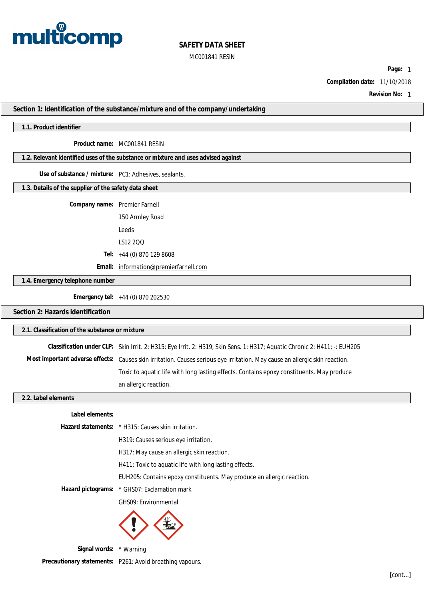

**Page:** 1

**Compilation date:** 11/10/2018

**Revision No:** 1

**Section 1: Identification of the substance/mixture and of the company/undertaking**

#### **1.1. Product identifier**

**Product name:** MC001841 RESIN

**1.2. Relevant identified uses of the substance or mixture and uses advised against**

**Use of substance / mixture:** PC1: Adhesives, sealants.

**1.3. Details of the supplier of the safety data sheet**

**Company name:** Premier Farnell

150 Armley Road Leeds

LS12 2QQ

**Tel:** +44 (0) 870 129 8608

**Email:** [information@premierfarnell.com](mailto:information@premierfarnell.com)

**1.4. Emergency telephone number**

**Emergency tel:** +44 (0) 870 202530

## **Section 2: Hazards identification**

| 2.1. Classification of the substance or mixture |                                                                                                                             |  |
|-------------------------------------------------|-----------------------------------------------------------------------------------------------------------------------------|--|
|                                                 | Classification under CLP: Skin Irrit. 2: H315; Eye Irrit. 2: H319; Skin Sens. 1: H317; Aquatic Chronic 2: H411; -: EUH205   |  |
|                                                 | Most important adverse effects: Causes skin irritation. Causes serious eye irritation. May cause an allergic skin reaction. |  |
|                                                 | Toxic to aquatic life with long lasting effects. Contains epoxy constituents. May produce                                   |  |
|                                                 | an allergic reaction.                                                                                                       |  |
| 2.2. Label elements                             |                                                                                                                             |  |
| ∣abel elements∙                                 |                                                                                                                             |  |

|                                             | Hazard statements: * H315: Causes skin irritation.                     |
|---------------------------------------------|------------------------------------------------------------------------|
|                                             | H319: Causes serious eye irritation.                                   |
|                                             | H317: May cause an allergic skin reaction.                             |
|                                             | H411: Toxic to aquatic life with long lasting effects.                 |
|                                             | EUH205: Contains epoxy constituents. May produce an allergic reaction. |
|                                             | Hazard pictograms: * GHS07: Exclamation mark                           |
|                                             | <b>GHS09: Environmental</b>                                            |
|                                             |                                                                        |
| $C: \ldots$ is in the set of $\mathbb{R}^n$ |                                                                        |

**Signal words:** \* Warning

**Precautionary statements:** P261: Avoid breathing vapours.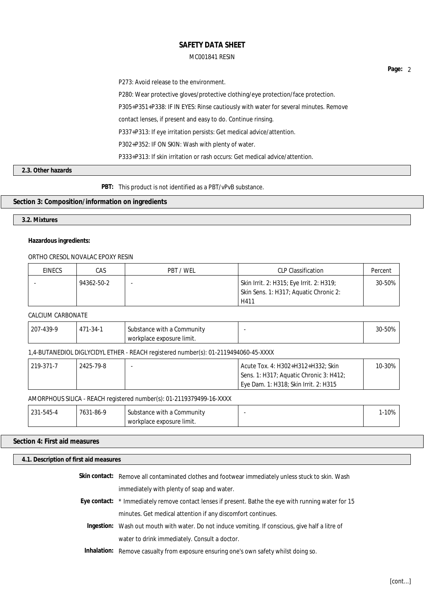P273: Avoid release to the environment. P280: Wear protective gloves/protective clothing/eye protection/face protection. P305+P351+P338: IF IN EYES: Rinse cautiously with water for several minutes. Remove contact lenses, if present and easy to do. Continue rinsing. P337+P313: If eye irritation persists: Get medical advice/attention. P302+P352: IF ON SKIN: Wash with plenty of water. P333+P313: If skin irritation or rash occurs: Get medical advice/attention.

## **2.3. Other hazards**

**PBT:** This product is not identified as a PBT/vPvB substance.

## **Section 3: Composition/information on ingredients**

**3.2. Mixtures**

#### **Hazardous ingredients:**

## ORTHO CRESOL NOVALAC EPOXY RESIN

| EINECS | CAS        | PBT / WEL | <b>CLP Classification</b>                                                          | Percent |
|--------|------------|-----------|------------------------------------------------------------------------------------|---------|
|        | 94362-50-2 |           | Skin Irrit. 2: H315; Eye Irrit. 2: H319;<br>Skin Sens. 1: H317; Aquatic Chronic 2: | 30-50%  |
|        |            |           | H411                                                                               |         |

## CALCIUM CARBONATE

| $7 - 439 - 9$<br>207 | -34-1<br>$1 - 7 - 1$<br>4<br>. .<br> | Substance with a<br>ı Community | 30-50% |
|----------------------|--------------------------------------|---------------------------------|--------|
|                      |                                      | rkplace exposure limit.<br>WOL. |        |

#### 1,4-BUTANEDIOL DIGLYCIDYL ETHER - REACH registered number(s): 01-2119494060-45-XXXX

| 219-371-7 | 2425-79-8 | Acute Tox. 4: H302+H312+H332: Skin                 | 10-30% |
|-----------|-----------|----------------------------------------------------|--------|
|           |           | Sens. 1: H317; Aquatic Chronic 3: H412;            |        |
|           |           | <sup>1</sup> Eye Dam. 1: H318; Skin Irrit. 2: H315 |        |

#### AMORPHOUS SILICA - REACH registered number(s): 01-2119379499-16-XXXX

| 4-545-1∠ے | <u>0 - 86 م</u><br>763. | Substance with a Community | 1-10% |
|-----------|-------------------------|----------------------------|-------|
|           |                         | workplace exposure limit.  |       |

## **Section 4: First aid measures**

#### **4.1. Description of first aid measures**

| Skin contact: Remove all contaminated clothes and footwear immediately unless stuck to skin. Wash    |
|------------------------------------------------------------------------------------------------------|
| immediately with plenty of soap and water.                                                           |
| Eye contact: * Immediately remove contact lenses if present. Bathe the eye with running water for 15 |
| minutes. Get medical attention if any discomfort continues.                                          |
| Ingestion: Wash out mouth with water. Do not induce vomiting. If conscious, give half a litre of     |
| water to drink immediately. Consult a doctor.                                                        |
| Inhalation: Remove casualty from exposure ensuring one's own safety whilst doing so.                 |

**Page:** 2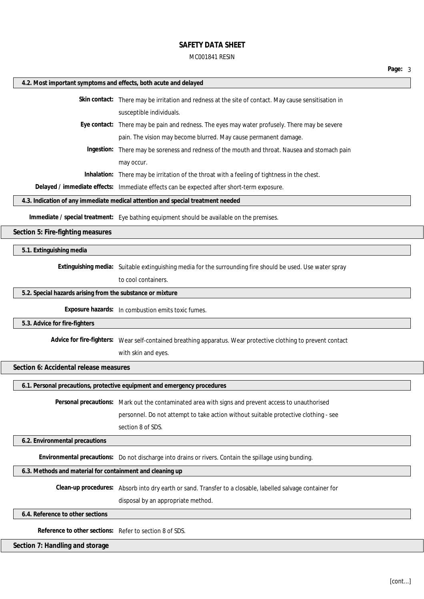# MC001841 RESIN

| 4.2. Most important symptoms and effects, both acute and delayed |                                                                                                                                                  |
|------------------------------------------------------------------|--------------------------------------------------------------------------------------------------------------------------------------------------|
|                                                                  | Skin contact: There may be irritation and redness at the site of contact. May cause sensitisation in                                             |
|                                                                  | susceptible individuals.                                                                                                                         |
|                                                                  | Eye contact: There may be pain and redness. The eyes may water profusely. There may be severe                                                    |
|                                                                  | pain. The vision may become blurred. May cause permanent damage.                                                                                 |
|                                                                  | Ingestion: There may be soreness and redness of the mouth and throat. Nausea and stomach pain                                                    |
|                                                                  | may occur.                                                                                                                                       |
|                                                                  | Inhalation: There may be irritation of the throat with a feeling of tightness in the chest.                                                      |
|                                                                  | Delayed / immediate effects: Immediate effects can be expected after short-term exposure.                                                        |
|                                                                  | 4.3. Indication of any immediate medical attention and special treatment needed                                                                  |
|                                                                  | Immediate / special treatment: Eye bathing equipment should be available on the premises.                                                        |
| Section 5: Fire-fighting measures                                |                                                                                                                                                  |
| 5.1. Extinguishing media                                         |                                                                                                                                                  |
|                                                                  | Extinguishing media: Suitable extinguishing media for the surrounding fire should be used. Use water spray                                       |
|                                                                  | to cool containers.                                                                                                                              |
| 5.2. Special hazards arising from the substance or mixture       |                                                                                                                                                  |
|                                                                  | Exposure hazards: In combustion emits toxic fumes.                                                                                               |
| 5.3. Advice for fire-fighters                                    |                                                                                                                                                  |
|                                                                  | Advice for fire-fighters: Wear self-contained breathing apparatus. Wear protective clothing to prevent contact                                   |
|                                                                  | with skin and eyes.                                                                                                                              |
| Section 6: Accidental release measures                           |                                                                                                                                                  |
|                                                                  | 6.1. Personal precautions, protective equipment and emergency procedures                                                                         |
|                                                                  | Personal precautions: Mark out the contaminated area with signs and prevent access to unauthorised                                               |
|                                                                  | personnel. Do not attempt to take action without suitable protective clothing - see                                                              |
|                                                                  | section 8 of SDS.                                                                                                                                |
| 6.2. Environmental precautions                                   |                                                                                                                                                  |
|                                                                  | Environmental precautions: Do not discharge into drains or rivers. Contain the spillage using bunding.                                           |
|                                                                  |                                                                                                                                                  |
| 6.3. Methods and material for containment and cleaning up        |                                                                                                                                                  |
|                                                                  |                                                                                                                                                  |
|                                                                  | Clean-up procedures: Absorb into dry earth or sand. Transfer to a closable, labelled salvage container for<br>disposal by an appropriate method. |
| 6.4. Reference to other sections                                 |                                                                                                                                                  |
| Reference to other sections: Refer to section 8 of SDS.          |                                                                                                                                                  |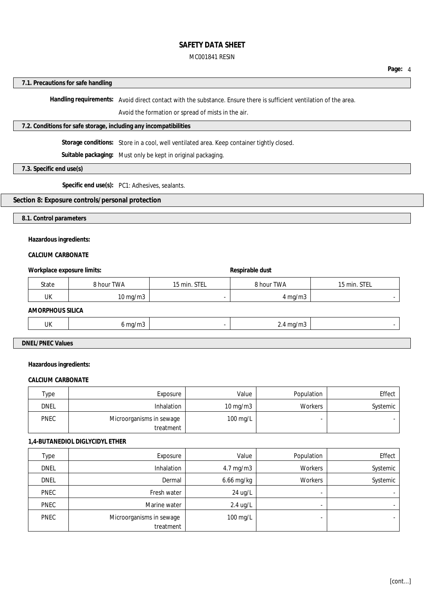#### **Page:** 4

#### **7.1. Precautions for safe handling**

**Handling requirements:** Avoid direct contact with the substance. Ensure there is sufficient ventilation of the area.

Avoid the formation or spread of mists in the air.

#### **7.2. Conditions for safe storage, including any incompatibilities**

**Storage conditions:** Store in a cool, well ventilated area. Keep container tightly closed.

**Suitable packaging:** Must only be kept in original packaging.

**7.3. Specific end use(s)**

**Specific end use(s):** PC1: Adhesives, sealants.

# **Section 8: Exposure controls/personal protection**

**8.1. Control parameters**

# **Hazardous ingredients:**

# **CALCIUM CARBONATE**

| Workplace exposure limits: | Respirable dust   |              |                    |              |  |  |
|----------------------------|-------------------|--------------|--------------------|--------------|--|--|
| State                      | 8 hour TWA        | 15 min. STEL | 8 hour TWA         | 15 min. STEL |  |  |
| UK                         | $10 \text{ mg/m}$ |              | $4 \text{ mg/m}$   |              |  |  |
| AMORPHOUS SILICA           |                   |              |                    |              |  |  |
| UK                         | $6$ mg/m $3$      |              | $2.4 \text{ mg/m}$ |              |  |  |

# **DNEL/PNEC Values**

#### **Hazardous ingredients:**

#### **CALCIUM CARBONATE**

| Type        | Exposure                 | Value             | Population | Effect   |
|-------------|--------------------------|-------------------|------------|----------|
| <b>DNEL</b> | <b>Inhalation</b>        | $10 \text{ mg/m}$ | Workers    | Systemic |
| <b>PNEC</b> | Microorganisms in sewage | 100 mg/L          |            |          |
|             | treatment                |                   |            |          |

#### **1,4-BUTANEDIOL DIGLYCIDYL ETHER**

| <b>Type</b> | Exposure                 | Value                | Population     | Effect   |
|-------------|--------------------------|----------------------|----------------|----------|
| <b>DNEL</b> | Inhalation               | $4.7 \text{ mg/m}$ 3 | Workers        | Systemic |
| <b>DNEL</b> | Dermal                   | 6.66 mg/kg           | Workers        | Systemic |
| PNEC        | Fresh water              | 24 ug/L              | $\blacksquare$ |          |
| PNEC        | Marine water             | $2.4$ ug/L           | $\blacksquare$ |          |
| <b>PNEC</b> | Microorganisms in sewage | 100 mg/L             |                |          |
|             | treatment                |                      |                |          |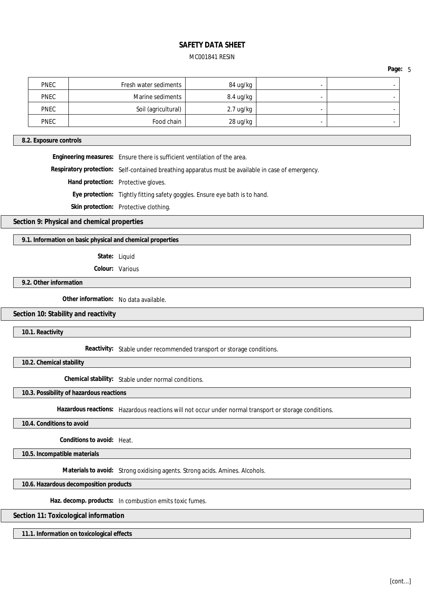**Page:** 5

|   | 84 ug/kg            | Fresh water sediments | <b>PNEC</b> |
|---|---------------------|-----------------------|-------------|
| - | 8.4 ug/kg           | Marine sediments      | <b>PNEC</b> |
|   | $2.7 \text{ ug/kg}$ | Soil (agricultural)   | <b>PNEC</b> |
|   | 28 ug/kg            | Food chain            | <b>PNEC</b> |

#### **8.2. Exposure controls**

**Engineering measures:** Ensure there is sufficient ventilation of the area.

**Respiratory protection:** Self-contained breathing apparatus must be available in case of emergency.

**Hand protection:** Protective gloves.

**Eye protection:** Tightly fitting safety goggles. Ensure eye bath is to hand.

**Skin protection:** Protective clothing.

**Section 9: Physical and chemical properties**

**9.1. Information on basic physical and chemical properties**

**State:** Liquid

**Colour:** Various

**9.2. Other information**

**Other information:** No data available.

#### **Section 10: Stability and reactivity**

**10.1. Reactivity**

**Reactivity:** Stable under recommended transport or storage conditions.

**10.2. Chemical stability**

**Chemical stability:** Stable under normal conditions.

**10.3. Possibility of hazardous reactions**

**Hazardous reactions:** Hazardous reactions will not occur under normal transport or storage conditions.

**10.4. Conditions to avoid**

**Conditions to avoid:** Heat.

**10.5. Incompatible materials**

**Materials to avoid:** Strong oxidising agents. Strong acids. Amines. Alcohols.

**10.6. Hazardous decomposition products**

**Haz. decomp. products:** In combustion emits toxic fumes.

**Section 11: Toxicological information**

**11.1. Information on toxicological effects**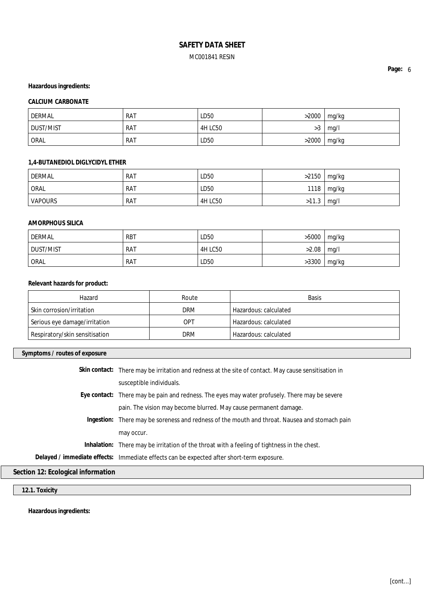# **Hazardous ingredients:**

## **CALCIUM CARBONATE**

| <b>DERMAL</b>    | <b>RAT</b> | LD50           | >2000            | mg/kg |
|------------------|------------|----------------|------------------|-------|
| <b>DUST/MIST</b> | <b>RAT</b> | <b>4H LC50</b> | $\sqrt{2}$<br>>3 | mq/1  |
| <b>ORAL</b>      | <b>RAT</b> | LD50           | >2000            | mg/kg |

## **1,4-BUTANEDIOL DIGLYCIDYL ETHER**

| <b>DERMAL</b>  | <b>RAT</b> | LD50           | >2150 | mg/kg |
|----------------|------------|----------------|-------|-------|
| ORAL           | <b>RAT</b> | LD50           | 1118  | mg/kg |
| <b>VAPOURS</b> | <b>RAT</b> | <b>4H LC50</b> | >11.3 | mq/l  |

## **AMORPHOUS SILICA**

| DERMAL      | <b>RBT</b> | LD50    | >5000 | mg/kg |
|-------------|------------|---------|-------|-------|
| DUST/MIST   | <b>RAT</b> | 4H LC50 | >2.08 | mq/l  |
| <b>ORAL</b> | <b>RAT</b> | LD50    | >3300 | mg/kg |

#### **Relevant hazards for product:**

| Hazard                         | Route      | <b>Basis</b>          |
|--------------------------------|------------|-----------------------|
| Skin corrosion/irritation      | <b>DRM</b> | Hazardous: calculated |
| Serious eye damage/irritation  | OPT        | Hazardous: calculated |
| Respiratory/skin sensitisation | <b>DRM</b> | Hazardous: calculated |

#### **Symptoms / routes of exposure**

|                            | Skin contact: There may be irritation and redness at the site of contact. May cause sensitisation in |
|----------------------------|------------------------------------------------------------------------------------------------------|
|                            | susceptible individuals.                                                                             |
|                            | Eye contact: There may be pain and redness. The eyes may water profusely. There may be severe        |
|                            | pain. The vision may become blurred. May cause permanent damage.                                     |
|                            | Ingestion: There may be soreness and redness of the mouth and throat. Nausea and stomach pain        |
|                            | may occur.                                                                                           |
|                            | Inhalation: There may be irritation of the throat with a feeling of tightness in the chest.          |
|                            | Delayed / immediate effects: Immediate effects can be expected after short-term exposure.            |
| 12. Feelesiaal information |                                                                                                      |

**Section 12: Ecological information**

**12.1. Toxicity**

**Hazardous ingredients:**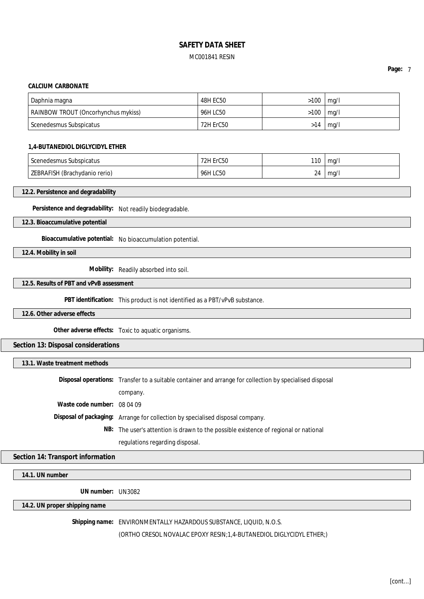#### **CALCIUM CARBONATE**

| Daphnia magna                              | 48H EC50  | >100 | ma/l |
|--------------------------------------------|-----------|------|------|
| <b>RAINBOW TROUT (Oncorhynchus mykiss)</b> | 96H LC50  | >100 | mq/l |
| l Scenedesmus Subspicatus                  | 72H ErC50 | >14  | mg/l |

#### **1,4-BUTANEDIOL DIGLYCIDYL ETHER**

| Scenedesmus Subspicatus | $-0.00$<br>72H E<br>ы<br>טשטו | 110 | mq/ |
|-------------------------|-------------------------------|-----|-----|
| <b>7EBRAFISH</b>        | LC50                          | 24  | ma/ |
| l (Brachvdanio rerio).  | 96H                           |     |     |

#### **12.2. Persistence and degradability**

**Persistence and degradability:** Not readily biodegradable.

**12.3. Bioaccumulative potential**

**Bioaccumulative potential:** No bioaccumulation potential.

**12.4. Mobility in soil**

**Mobility:** Readily absorbed into soil.

#### **12.5. Results of PBT and vPvB assessment**

**PBT identification:** This product is not identified as a PBT/vPvB substance.

#### **12.6. Other adverse effects**

**Other adverse effects:** Toxic to aquatic organisms.

**Section 13: Disposal considerations**

**13.1. Waste treatment methods**

|                               | Disposal operations: Transfer to a suitable container and arrange for collection by specialised disposal |
|-------------------------------|----------------------------------------------------------------------------------------------------------|
|                               | company.                                                                                                 |
| Waste code number: $08,04,09$ |                                                                                                          |
|                               | Disposal of packaging: Arrange for collection by specialised disposal company.                           |
|                               | NB: The user's attention is drawn to the possible existence of regional or national                      |
|                               | regulations regarding disposal.                                                                          |

## **Section 14: Transport information**

**14.1. UN number**

**UN number:** UN3082

#### **14.2. UN proper shipping name**

**Shipping name:** ENVIRONMENTALLY HAZARDOUS SUBSTANCE, LIQUID, N.O.S.

(ORTHO CRESOL NOVALAC EPOXY RESIN;1,4-BUTANEDIOL DIGLYCIDYL ETHER;)